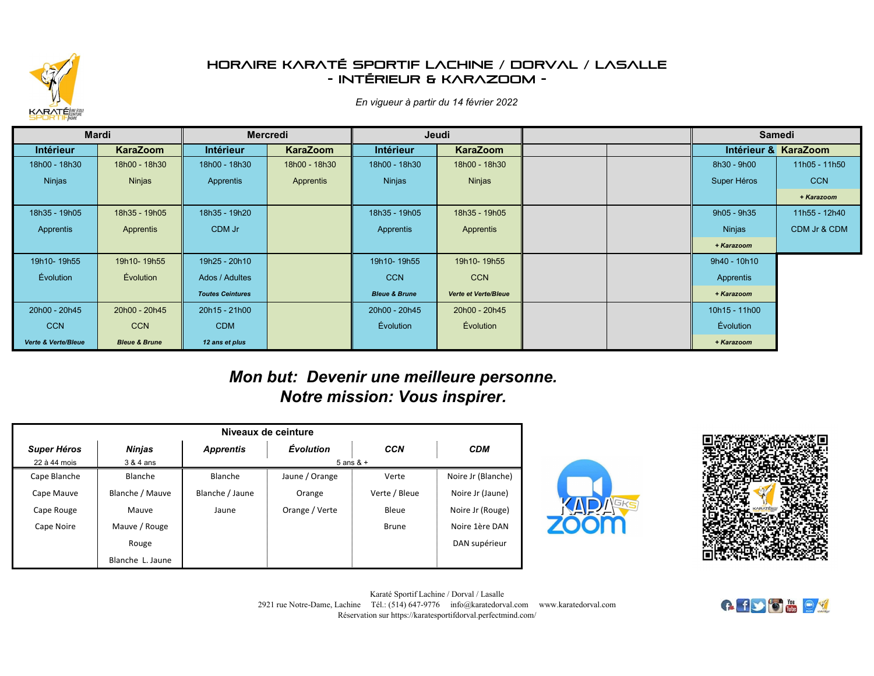

## *Horaire Karaté Sportif Lachine / Dorval / Lasalle - Intérieur & KaraZoom -*

*En vigueur à partir du 14 février 2022*

| <b>Mardi</b>                   |                          |                         | <b>Mercredi</b> | Jeudi                    |                             | <b>Samedi</b>    |                      |
|--------------------------------|--------------------------|-------------------------|-----------------|--------------------------|-----------------------------|------------------|----------------------|
| <b>Intérieur</b>               | <b>KaraZoom</b>          | <b>Intérieur</b>        | <b>KaraZoom</b> | <b>Intérieur</b>         | <b>KaraZoom</b>             |                  | Intérieur & KaraZoom |
| 18h00 - 18h30                  | 18h00 - 18h30            | 18h00 - 18h30           | 18h00 - 18h30   | 18h00 - 18h30            | 18h00 - 18h30               | 8h30 - 9h00      | 11h05 - 11h50        |
| Ninjas                         | Ninjas                   | Apprentis               | Apprentis       | Ninjas                   | Ninjas                      | Super Héros      | <b>CCN</b>           |
|                                |                          |                         |                 |                          |                             |                  | + Karazoom           |
| 18h35 - 19h05                  | 18h35 - 19h05            | 18h35 - 19h20           |                 | 18h35 - 19h05            | 18h35 - 19h05               | 9h05 - 9h35      | 11h55 - 12h40        |
| Apprentis                      | Apprentis                | CDM Jr                  |                 | Apprentis                | Apprentis                   | Ninjas           | CDM Jr & CDM         |
|                                |                          |                         |                 |                          |                             | + Karazoom       |                      |
| 19h10-19h55                    | 19h10-19h55              | 19h25 - 20h10           |                 | 19h10-19h55              | 19h10-19h55                 | 9h40 - 10h10     |                      |
| Évolution                      | Évolution                | Ados / Adultes          |                 | <b>CCN</b>               | <b>CCN</b>                  | Apprentis        |                      |
|                                |                          | <b>Toutes Ceintures</b> |                 | <b>Bleue &amp; Brune</b> | <b>Verte et Verte/Bleue</b> | + Karazoom       |                      |
| 20h00 - 20h45                  | 20h00 - 20h45            | 20h15 - 21h00           |                 | 20h00 - 20h45            | 20h00 - 20h45               | 10h15 - 11h00    |                      |
| <b>CCN</b>                     | <b>CCN</b>               | <b>CDM</b>              |                 | <b>Évolution</b>         | <b>Évolution</b>            | <b>Évolution</b> |                      |
| <b>Verte &amp; Verte/Bleue</b> | <b>Bleue &amp; Brune</b> | 12 ans et plus          |                 |                          |                             | + Karazoom       |                      |

## *Mon but: Devenir une meilleure personne. Notre mission: Vous inspirer.*

| Niveaux de ceinture |                  |                  |                |               |                    |  |  |  |
|---------------------|------------------|------------------|----------------|---------------|--------------------|--|--|--|
| <b>Super Héros</b>  | <b>Ninjas</b>    | <b>Apprentis</b> | Évolution      | <b>CCN</b>    | <b>CDM</b>         |  |  |  |
| 22 à 44 mois        | 3 & 4 ans        | $5$ ans & $+$    |                |               |                    |  |  |  |
| Cape Blanche        | Blanche          | Blanche          | Jaune / Orange | Verte         | Noire Jr (Blanche) |  |  |  |
| Cape Mauve          | Blanche / Mauve  | Blanche / Jaune  | Orange         | Verte / Bleue | Noire Jr (Jaune)   |  |  |  |
| Cape Rouge          | Mauve            | Jaune            | Orange / Verte | Bleue         | Noire Jr (Rouge)   |  |  |  |
| Cape Noire          | Mauve / Rouge    |                  |                | Brune         | Noire 1ère DAN     |  |  |  |
|                     | Rouge            |                  |                |               | DAN supérieur      |  |  |  |
|                     | Blanche L. Jaune |                  |                |               |                    |  |  |  |





Karaté Sportif Lachine / Dorval / Lasalle 2921 rue Notre-Dame, Lachine Tél.: (514) 647-9776 info@karatedorval.com www.karatedorval.com Réservation sur https://karatesportifdorval.perfectmind.com/